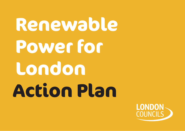# **Renewable Power for London Action Plan**

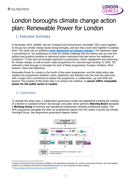

# London boroughs climate change action plan: Renewable Power for London

# 1. Executive Summary

In November 2019, LEDNet<sup>1</sup> and the Transport and Environment Committee (TEC) came together to discuss key climate change issues facing boroughs, and how they could work together to address them. The result was an ambitious **[Joint Statement on Climate Change](https://www.londoncouncils.gov.uk/node/36755)<sup>2</sup> .** The statement made a commitment to "act ambitiously to meet the climate challenge that the science sets out and find political and practical solutions to delivering carbon reductions that also secure the wellbeing of Londoners." It also sets out boroughs approach to governance, citizen engagement and resourcing for climate change, as well as seven major programmes for cross-borough working. In 2020, TEC endorsed a lead borough or boroughs for each of these programmes, Purpose, Ambition, Work streams, Vision and Objectives.

Renewable Power for London is the fourth of the seven programmes, and this initial action plan explains the programmes ambition, vision, objectives, and activities over the next two years and with a longer-term commitment to deliver this programme, in collaboration, up until 2030 and beyond. The purpose of this action plan is to achieve the ambition, to **secure 100% renewable power for the public sector in London**.

#### 1.1 Governance

To develop the action plan, a collaborative governance model was established including the creation of a director or assistant director led borough and public sector partners **Steering Board** alongside a **Working Group** of technical and operational practitioners including professional bodies. The RP4L programme alongside the other six programmes reports into the London Councils' led Climate Oversight Group. See programme governance diagram below:



<sup>1</sup>London Environment Directors' Network (LEDNet) is the membership association for London's Environment Directors. We work together to deliver more effective and efficient environmental services, as a key component of place shaping.

<sup>2</sup> <https://www.londoncouncils.gov.uk/node/36755>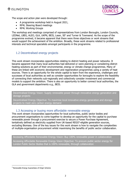

The scope and action plan were developed through:

- A programme workshop held in August 2021,
- RP4L Steering Board meetings
- RP4L Working Groups

The workshop and meetings comprised of representatives from London Boroughs, London Councils, LEDNet, LBEG, ALEO, GLA, UKPN, BEIS, Laser, SE<sup>2</sup> and Turner & Townsend. As the scope of the programme evolved, it became apparent that there were three objectives or work streams that would support the achievement of the ambition. Broadly, these work streams related to professional interests and technical specialists amongst participants in the programme.

#### 1.2 Decentralised energy projects

This work stream incorporates opportunities relating to district heating and power networks. It became apparent that many local authorities had delivered or were planning or considering district heating solutions as part of their environmental, energy or climate change programmes. Many of these are linked with economic development and regeneration programmes using a variety of heat sources. There is an opportunity for the whole capital to learn from the experience, challenges and successes of local authorities as well as consider opportunities for boroughs to explore the feasibility of connecting their networks sub-regionally and collectively consider investment and commercial models to support the ambition. There is also an opportunity to better connect local authorities, the GLA and government departments e.g., BEIS.

Decentralised Energy Vision: Supply renewable power through innovative energy generation and storage projects

Decentralised Energy Objective: To maximise local innovative energy generation and storage projects to meet zero carbon energy demand

#### 1.3 Accessing or buying more affordable renewable energy

This work stream incorporates opportunities for local authorities, public sector bodies and procurement organisations to come together to develop an opportunity for the capital to purchase renewable power through a procurement exercise to secure a Power Purchase Agreement, tentatively defined as electricity supplied from UK-based REGO<sup>3</sup>-eligible generation sources, excluding Biomass. One of the key issues for this work stream is how to navigate the complexities of multiple-organisation procurement whilst maximising the benefits of public sector collaboration.

Accessing Affordable Renewable Energy Vision: Buy 100% renewable power in collaboration

Accessing Affordable Renewable Energy Vision Objective: To procure public sector energy for London Public Sector Bodies that is 100% renewable, through collaboration

<sup>3</sup> Renewable Energy Guarantees of Origin Scheme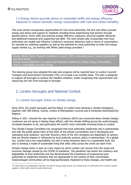

#### 1.4 Energy Advice (provide advice on renewable tariffs and energy efficiency measures to reduce domestic energy consumption with cost and carbon benefits)

This work stream incorporates opportunities for how local authorities, the GLA and others provide energy and advice and support to residents including those experiencing fuel poverty through general advice, home visits and practical energy efficiency measures, securing supplier discounts and additional measures and supporting fuel debt. The work stream also incorporates how local authorities can enable and influence Londoner's consumer behaviour both in terms of consumption, for example by switching suppliers as well as the potential for local authorities to enter the energy supply market e.g., by working with White Label energy providers.<sup>4</sup>

Energy Advice Vision: Support Londoners to source 100% renewable power, reduce consumption and save money. Energy Advice Objective: To support and influence residents to reduce energy consumption, move to renewables and save money.

The steering group have adopted this plan and progress will be reported back to London Councils' Transport and Environment Committee (TEC) on at least a six-monthly basis. This plan is designed to support all boroughs to achieve the headline ambition, whilst recognising that requirements and resourcing will vary from borough to borough.

# 2. London boroughs and National Context

#### 2.1 London boroughs' action on climate change

Since 2019, 28 London boroughs and the Mayor of London have declared a climate emergency, together with 300 District, County, Unitary & Metropolitan Councils and 8 Combined Authorities/City Regions.

Polling in 2021- showed the vast majority of Londoners (82%) are concerned about climate change. Londoners are not alone in feeling these effects, with the climate shifting across the world bringing increased disasters to all, and particularly the world's most vulnerable including those in London.

The Climate Change Committee has recognised that local authorities 'leadership role in partnerships and with the public places them at the heart of the climate conversation and in developing and replicating local solutions,' and that 'Around a third of the UK's emissions are dependent on sectors that are directly shaped or influenced by local authority practice, policy or partnerships.' As a global city, London has a key responsibility not only to bring emissions down to a sustainable level, but also to develop a model of sustainable living that other cities across the world can learn from.

Climate change action is seen as a key means by which London can recover from the social and economic damage caused by the COVID-19 pandemic. The pandemic has shown the resiliency and adaptability of local authorities and has demonstrated the importance of empowering local authorities to implement solutions that are appropriate to the context of their communities. Disadvantaged communities will be disproportionately impacted by these changes, and health and

<sup>&</sup>lt;sup>4</sup> A 'white label' is an organisation that does not hold an energy supply licence, but instead works in partnership with a licensed 'partner supplier' to offer tariffs under the white label brand.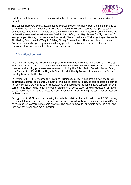

social care will be affected – for example with threats to water supplies through greater risk of drought.

The London Recovery Board, established to oversee London's recovery from the pandemic and cochaired by the Chair of London Councils and the Mayor of London, seeks to incorporate such perspectives in its work. The board oversees the work of the London Recovery Taskforce, which is undertaking nine missions (Green New Deal; Robust Safety Net; High Streets for All; New Deal for Young People; Helping Londoners into Good Work; Mental Health and Wellbeing; Digital Access for All; Healthy Food, Healthy Weight; Building Strong Communities). The action plans of London Councils' climate change programmes will engage with the missions to ensure that work is complementary and does not replicate efforts underway.

#### 2.2 National context

At the national level, the Government legislated for the UK to meet net zero carbon emissions by 2050 in 2019, and in 2020, it committed to a milestone of 68% emissions reductions by 2030. Since then, several funding pots have been released including the Public Sector Decarbonisation Fund, Low Carbon Skills Fund, Home Upgrade Grant, Local Authority Delivery Scheme, and the Social Housing Decarbonisation Fund.

In October 2021, BEIS released the Heat and Buildings Strategy, which sets out how the UK will decarbonise homes, commercial, industrial, and public sector buildings, as part of setting a path to net zero by 2050. As well as other consultations and documents including Future support for local carbon heat; Heat Pump Ready innovation programme; Consultation on the introduction of marketbased mechanism to support investment and innovation in transforming the consumer proposition on heat pumps.

Energy costs in 2021 have been soaring for both the public sector and residents with 2022 looking to be no different. The Ofgem domestic energy price cap will likely increase again in April 2022, by as much as 30% according to some analysts. The need to move to renewable power in a fair and just way has never been more important.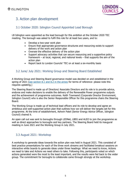

# 3. Action plan development

#### 3.1 October 2020: Islington Council Appointed Lead Borough

LB Islington were appointed as the lead borough for this ambition at the October 2020 TEC meeting. The borough was asked to fulfil this role for at least two years, and to:

- Develop a two-year work plan
- Ensure that appropriate governance structures and resourcing exists to support delivery of the work and action plan
- Oversee the effective delivery of the action plan
- Support advocacy activities that can secure resourcing and a supportive policy framework – at local, regional, and national levels – that supports the aim of the action plan
- Report back to London Councils' TEC on at least a six-monthly basis

#### 3.2 June/ July 2021: Working Group and Steering Board Established

A Working Group and Steering Board governance model was decided on and established in the spring of 2021 (see [section 8.1 and 8.2 in the annex](#page-21-0) for terms of reference- please note this requires updating.)

The Steering Board is made up of Directors/ Associate Directors and its role is to provide advice, endorse and make decisions to enable the delivery of the Renewable Power programme outputs and the achievement of programme outcomes. Keith Townsend (Corporate Director Environment, Islington Council) who is also the Senior Responsible Officer for this programme chairs the Steering Board.

The Working Group is made up of technical lead officers and its role to develop and agree an ambitious and well-supported action plan that outlines how we will deliver the targets set for this programme. At the time of establishment, Ashwin Patel (Senior Energy Advice Officer, Islington Council) chaired it.

An open call out was sent to boroughs through LEDNet, LBEG and ALEO to join the programme as well as direct approaches to boroughs and key partners. The Steering Board held its inaugural meeting in June 2021 and the Working Group in July 2021.

#### 3.3 August 2021: Workshop

A workshop to generate ideas towards the action plan was held in August 2021. This consisted of best practice presentations for each of the three work streams and facilitated breakout sessions on interactive white boards to generate ideas under three headings: What we need to know, Actions we need to take and Actions we need others to take. Following this, participants voted on which actions generated were the most to the least important, and the results were fed back to the wider group. The commitment for boroughs to collaborate came through strongly at the workshop.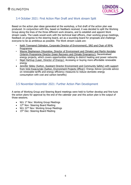

#### 3.4 October 2021: First Action Plan Draft and Work stream Split

Based on the action plan ideas generated at the workshop, a first draft of the action plan was produced. In conjunction with this, based on feedback received, it was decided to split the Working Group along the lines of the three different work streams, and to establish and appoint Work stream Leads. The Leads would work with the technical lead officers, chair working group meetings, feedback on progress to the steering board, act as a sounding board for proposals and challenge everyone to be as ambitious as possible. The Work stream Leads are:

- Keith Townsend (Islington, Corporate Director of Environment), SRO and Chair of RP4L Programme
- Wayne Stephenson (Hounslow, Director of Environment and Climate) and Martin Kerslake (Interim Programme Director Green Recovery and Climate Emergency): Decentralised energy projects, which covers opportunities relating to district heating and power networks
- Nigel Hartnup (Laser, Director of Energy): Accessing or buying more affordable renewable energy
- Jennifer Sibley (Sutton, Assistant Director Environment and Community Safety) with support from Vicki Kwaczynski (Sutton, Environment Projects Officer): Energy Advice (provide advice on renewable tariffs and energy efficiency measures to reduce domestic energy consumption with cost and carbon benefits)

#### 3.5 November-December 2021: Further Action Plan Development

A series of Working Group and Steering Board meetings were held to further develop and fine-tune the action plans for approval by the end of the calendar year and this action plan is the output of those sessions.

- W/c 1<sup>st</sup> Nov: Working Group Meetings
- $\bullet$  12<sup>th</sup> Nov: Steering Board Meeting
- W/c 22<sup>nd</sup> Nov: Working Group Meetings
- $\bullet$  15<sup>th</sup> Dec: Steering Board Meeting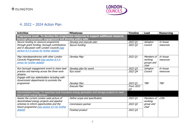

# 4. 2022 – 2024 Action Plan

| <b>Activities</b>                                                                        | <b>Milestones</b>                                                                                 | <b>Timeline</b> | Lead               | <b>Resourcing</b> |
|------------------------------------------------------------------------------------------|---------------------------------------------------------------------------------------------------|-----------------|--------------------|-------------------|
|                                                                                          | Programme Level: To develop the programme resources to support additional research,               |                 |                    |                   |
| borough/stakeholder engagement and develop policy asks                                   |                                                                                                   |                 |                    |                   |
| Secure funding to resource programme                                                     | Develop and execute plan                                                                          | 2022 Q1         | Islington          | In house          |
| through grant funding, borough contributions                                             | Secure funding                                                                                    | 2022 Q2         | Council            | resources         |
| and in discussion with London Councils (see                                              |                                                                                                   |                 |                    |                   |
| section 8.3 in annex for further details)                                                |                                                                                                   |                 |                    |                   |
| Map interdependencies with other London                                                  | Develop Map                                                                                       | 2022 Q1         | Members of         | In house          |
| Councils Programmes (see section 8.4 in                                                  |                                                                                                   |                 | working            | resources         |
| annex for further details)                                                               |                                                                                                   |                 | groups and         |                   |
|                                                                                          |                                                                                                   |                 | chair              |                   |
| Run borough engagement event to share best                                               | Develop plan for event                                                                            | 2022 Q3         | Islington          | In house          |
| practice and learning across the three work                                              | Run event                                                                                         | 2022 Q4         | Council            | resources         |
| streams                                                                                  |                                                                                                   |                 |                    |                   |
| Engage with key stakeholders including with<br>Government departments to promote the     |                                                                                                   |                 |                    |                   |
| programme                                                                                | Develop Plan                                                                                      | 2023 Q1         | <b>TBD</b>         | TBD               |
|                                                                                          | <b>Execute Plan</b>                                                                               | From 2023       |                    |                   |
|                                                                                          |                                                                                                   | Q <sub>2</sub>  |                    |                   |
|                                                                                          | Decentralised Energy: To maximise local innovative energy generation and storage projects to meet |                 |                    |                   |
| zero carbon energy demand                                                                |                                                                                                   |                 |                    |                   |
| Assess the current London wide picture of                                                | Define scope and specification                                                                    | 2022 Q1         | Members of         | £35k              |
| decentralised energy projects and pipeline                                               |                                                                                                   |                 | working            |                   |
| schemes to inform opportunities and the<br>future programme (see section 8.5 for further | Commission partner                                                                                | 2022 Q2         | group and<br>chair |                   |
| details)                                                                                 | Finished product                                                                                  | 2022 Q3         |                    |                   |
|                                                                                          |                                                                                                   |                 |                    |                   |
|                                                                                          |                                                                                                   |                 |                    |                   |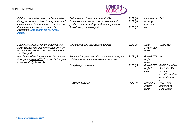# **<sup>参</sup>ISLINGTON**



| Publish London wide report on Decentralised<br>Energy opportunities based on a potential sub-<br>regional model to inform funding strategy to<br>develop high-level business cases for<br>investment. (see section 8.6 for further<br>details) | Define scope of report and specification<br>Commission partner to conduct research and<br>produce report including viable funding models<br>Publish and promote report | 2022 Q4<br>2022 Q4<br>2023 Q1 | Members of<br>working<br>group and<br>chair | £40k                                                                                              |
|------------------------------------------------------------------------------------------------------------------------------------------------------------------------------------------------------------------------------------------------|------------------------------------------------------------------------------------------------------------------------------------------------------------------------|-------------------------------|---------------------------------------------|---------------------------------------------------------------------------------------------------|
| Support the feasibility of development of a<br>North London Heat and Power Network with<br>boroughs and North London Waste Authority<br>and Energetik                                                                                          | Define scope and seek funding sources                                                                                                                                  | 2022 Q1                       | <b>North</b><br>London sub<br>region        | Circa £50k                                                                                        |
| Use the ultra-low 5th generation heat network<br>through the GreenSCIES <sup>5</sup> project in Islington<br>as a case study for London                                                                                                        | Securing Islington Council's commitment by signing<br>off the business case and relevant documents                                                                     | 2022 Q3                       | GreenSCIES<br>project<br>team               | NA                                                                                                |
|                                                                                                                                                                                                                                                | Complete procurement                                                                                                                                                   | 2023 Q3                       | GreenSCIES<br>project<br>team               | <b>GHNF Transition</b><br>fund of £150k<br>secured.<br>Possible funding<br>application to<br>LEA. |
|                                                                                                                                                                                                                                                | <b>Construct Network</b>                                                                                                                                               | 2025 Q4                       | GreenSCIES<br>project<br>team               | TBD- GHNF<br>offers up to<br>50% capital                                                          |

<sup>5</sup> <https://www.greenscies.com/>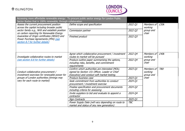

| Sector Bodies that is 100% renewable, through collaboration                                                             | Accessing more affordable renewable energy: To procure public sector energy for London Public                                                   |            |                                    |            |
|-------------------------------------------------------------------------------------------------------------------------|-------------------------------------------------------------------------------------------------------------------------------------------------|------------|------------------------------------|------------|
| Assess the current procurement position<br>across the capital including broader public                                  | Define scope and specification                                                                                                                  | 2022 Q1    | Members of<br>working              | £30k       |
| sector family e.g., NHS and establish position<br>on carbon reporting for Renewable Energy                              | Commission partner                                                                                                                              | 2022 Q2    | group and<br>chair                 |            |
| Guarantee of Origin certificates (REGO) and<br>Power Purchase Agreements (PPA) (see<br>section 8.7 for further details) | Finished product                                                                                                                                | 2022 Q3    |                                    |            |
| Investigate collaborative routes to market                                                                              | Agree which collaborative procurement / investment<br>routes to market will be pursued                                                          | 2022 Q4    | Members of<br>working              | £40k       |
| (see section 8.8 for further details)                                                                                   | Produce outline paper summarising the options,<br>including risks, benefits, and commitment<br>requirements                                     | 2022 Q4    | group and<br>chair                 |            |
| Conduct collaborative procurement /<br>investment exercises for renewable power for                                     | Confirm which authorities are interested (MOU,<br>signed by Section 151 Officer, Leader or Chief<br>Executive) and conduct soft market testing. | 2023 Q1    | Members of<br>working<br>group and | <b>TBD</b> |
| groups of London authorities (timings may                                                                               | Produce business case                                                                                                                           | 2023 Q1    | chair                              |            |
| vary for each route to market)                                                                                          | Seek commitment from authorities to conduct<br>procurement / investment exercise                                                                | 2024 Q1    |                                    |            |
|                                                                                                                         | Finalise specification and procurement documents<br>including criteria for assessing                                                            | 2024 Q2    |                                    |            |
|                                                                                                                         | Invite suppliers to bid and evaluate to appoint a<br>contractor                                                                                 | 2024 Q4    |                                    |            |
|                                                                                                                         | Sign Contracts                                                                                                                                  | 2025 Q1    |                                    |            |
|                                                                                                                         | Power Supply Date (will vary depending on route to<br>market and status of any new generation)                                                  | <b>TBC</b> |                                    |            |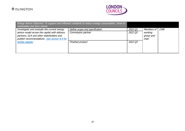# **<sup>参</sup>ISLINGTON**



| renewables and save money                     | Energy Advice Objective: To support and influence residents to reduce energy consumption, move to |         |            |      |
|-----------------------------------------------|---------------------------------------------------------------------------------------------------|---------|------------|------|
| Investigate and evaluate the current energy   | Define scope and specification                                                                    | 2022 Q1 | Members of | £30k |
| advice model across the capital with delivery | Commission partner                                                                                | 2022 Q2 | working    |      |
| partners, GLA and other stakeholders and      |                                                                                                   |         | group and  |      |
| publish recommendations (see section 8.9 for  |                                                                                                   |         | chair      |      |
| further details)                              | Finished product                                                                                  | 2022 Q3 |            |      |
|                                               |                                                                                                   |         |            |      |
|                                               |                                                                                                   |         |            |      |
|                                               |                                                                                                   |         |            |      |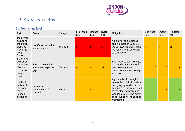

# 5. Key issues and risks

# 5.1 Programme level

| <b>Risk</b>                                                                              | Cause                                                | Category         | Likelihood<br>$(1-5)$ | Impact<br>$(1-5)$ | Overall<br>risk | Mitigation                                                                                                                                                                                                                  | Likelihood<br>$(1-5)$ | Impact<br>$(1-5)$ | Mitigated<br>risk |
|------------------------------------------------------------------------------------------|------------------------------------------------------|------------------|-----------------------|-------------------|-----------------|-----------------------------------------------------------------------------------------------------------------------------------------------------------------------------------------------------------------------------|-----------------------|-------------------|-------------------|
| Inability to<br>deliver on<br>the action<br>plan and<br>move the<br>programme<br>forward | Insufficient capacity<br>and resources               | Financial        | 5                     |                   | 25              | A plan will be developed<br>and executed in 2022 Q1-<br>Q2 to resource programme<br>including asking boroughs<br>to contribute                                                                                              | 4                     | $\overline{4}$    | 16                |
| Inability to<br>deliver on<br>the action<br>plan and<br>move the<br>programme<br>forward | Specialist technical<br>advice and expertise<br>gaps | <b>Technical</b> | $\overline{4}$        | 4                 | 16              | Each work stream will need<br>to consider any gaps and<br>propose mitigation<br>measures such as training<br>sessions.                                                                                                      | 3                     | $\overline{3}$    | 9                 |
| Unable to<br>deliver plan<br>that works<br>for all<br>London<br>boroughs                 | <b>Insufficient</b><br>engagement of<br>boroughs     | Social           | 3                     | 4                 | 12              | A good mix of boroughs<br>across the political spectrum<br>and geographically across<br>London have been recruited<br>to the steering board and<br>working groups. The buy in<br>of boroughs will need to be<br>maintained. |                       | $\overline{3}$    | 6                 |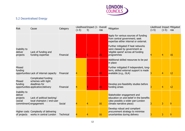

# 5.2 Decentralised Energy

| <b>Risk</b>                                                              | Cause                                                                                            | Category         | $(1-5)$ | Likelihood Impact (1- Overall<br>5) | risk | Mitigation                                                                                                                             | Likelihood Impact Mitigated<br>$(1-5)$ | $(1-5)$ | risk |
|--------------------------------------------------------------------------|--------------------------------------------------------------------------------------------------|------------------|---------|-------------------------------------|------|----------------------------------------------------------------------------------------------------------------------------------------|----------------------------------------|---------|------|
|                                                                          |                                                                                                  |                  |         |                                     |      | Apply for various sources of funding<br>from central government; seek<br>expertise either internal or external.                        |                                        |         |      |
| Inability to<br>deliver<br>projects                                      | Lack of funding and<br>funding expertise                                                         | Financial        |         |                                     | 25   | Further mitigated if heat networks<br>were classed by government as<br>'eligible spend' across all funding<br>programmes               |                                        |         | 16   |
|                                                                          |                                                                                                  |                  |         |                                     |      | Additional skilled resources to be put<br>in place                                                                                     |                                        |         |      |
| <b>Missed</b><br>funding                                                 | opportunities Lack of internal capacity                                                          | Financial        |         |                                     | 20   | Further mitigated if independent, long-<br>term, skilled external support is made<br>available (e.g., GLA)                             |                                        |         | 12   |
| <b>Missed</b><br>funding                                                 | Complicated funding<br>schemes with tight<br>deadlines for<br>opportunities application/delivery | Financial        |         |                                     | 20   | Develop pre-feasibility studies before<br>funding arises                                                                               |                                        |         | 12   |
| Inability to<br>deliver<br>projects<br>(social<br>commitment) engagement | Lack of political backing/<br>local champion / end-user                                          | Social           |         |                                     | 16   | Stakeholder engagement and<br>education on and belief in the benefits<br>(also possibly a wider pan-London<br>climate narrative piece) |                                        |         | ς    |
| of projects                                                              | Higher costs Complexity of delivering<br>works in central London                                 | <b>Technical</b> |         |                                     | 16   | Develop robust and compliant<br>procurement strategy to minimise<br>uncertainties during delivery                                      |                                        |         |      |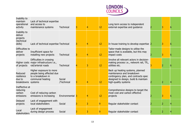

| Inability to<br>maintain<br>operational<br>activity          | Lack of technical expertise<br>and access to<br>maintenance systems                           | <b>Technical</b>     | 3 | 4 | 12 | Long term access to independent<br>external expertise and quidance                                                                                                    |   |   |
|--------------------------------------------------------------|-----------------------------------------------------------------------------------------------|----------------------|---|---|----|-----------------------------------------------------------------------------------------------------------------------------------------------------------------------|---|---|
| Inability to<br>deliver<br>projects<br>(technical<br>skills) | Lack of technical expertise Technical                                                         |                      |   | 4 | 12 | In house training to develop expertise 2                                                                                                                              |   | 6 |
| Difficulties to<br>deliver<br>projects                       | Insufficient space for<br>installing new projects                                             | <b>Technical</b>     |   | 4 | 12 | Tailor-made designs to utilise the<br>space that is available, but this may<br>impact costs                                                                           |   |   |
| of projects                                                  | Difficulties in crossing<br>Higher costs major infrastructure i.e.,<br>rail/arterial roads    | <b>Technical</b>     |   | 3 | 12 | Involve all relevant actors in decision-<br>making process i.e., network rail, TfL,<br>utilities etc.                                                                 |   | 6 |
| Reduced<br>resilience<br>due to<br>breakdowns systems        | Higher exposure to more<br>people being affected due<br>to a breakdown in<br>communal heating | Social<br>/Technical |   | 4 | 12 | Back up heating systems, planned<br>maintenance and breakdown<br>contingency plan, and contracts spec<br>designed to design, build & maintain<br>high-quality systems | 2 |   |
| Ineffective at<br>reducing<br>carbon<br>emissions            | Cost of reducing carbon<br>emissions is increasing                                            | Environmental        |   | 4 | 12 | Comprehensive designs to target the<br>most cost and carbon effective<br>projects                                                                                     |   |   |
| Delayed<br>projects                                          | Lack of engagement with<br>local stakeholders                                                 | Social               |   | 3 |    | Regular stakeholder contact                                                                                                                                           | 2 |   |
| Local<br>stakeholders                                        | Lack of engagement<br>during design process                                                   | Social               |   | 3 |    | Regular stakeholder contact                                                                                                                                           |   |   |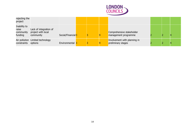

| rejecting the<br>project                      |                                                           |                               |  |                                                    |  |   |
|-----------------------------------------------|-----------------------------------------------------------|-------------------------------|--|----------------------------------------------------|--|---|
| Inability to<br>raise<br>community<br>funding | Lack of integration of<br>project with local<br>community | Social/Financial <sub>3</sub> |  | Comprehensive stakeholder<br>management programme  |  | Δ |
| constraints                                   | Air pollution Limited technology<br>options               | Environmental 3               |  | Involvement with planning in<br>preliminary stages |  |   |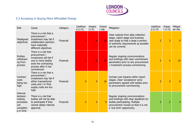

# 5.3 Accessing or Buying More Affordable Energy

| <b>Risk</b>                                                                          | Cause                                                                                                                                                | Category  | Likelihoo<br>$d(1-5)$ | Impact<br>$(1-5)$ | Overal<br>I risk | Mitigation                                                                                                                                                                      | Likelihoo<br>$d(1-5)$ | Impac<br>$t(1-5)$ | Mitigat<br>ed risk |
|--------------------------------------------------------------------------------------|------------------------------------------------------------------------------------------------------------------------------------------------------|-----------|-----------------------|-------------------|------------------|---------------------------------------------------------------------------------------------------------------------------------------------------------------------------------|-----------------------|-------------------|--------------------|
| Misaligned<br>objectives                                                             | There is a risk that a<br>procurement /<br>investment may fail if<br>collaboration partners<br>have materially<br>different objectives               | Financial | 5                     |                   | 20               | Clear outputs from data collection<br>stage, report stage and business<br>case stage so that a large a portion<br>of authority requirements as possible<br>can be covered.      | 3                     | 3                 | 9                  |
| <b>Entities</b><br>withdrawi<br>ng from<br>process                                   | There is a risk that<br>procurement /<br>investment will fail if<br>one or more bodies<br>exits the contracting<br>process after it has<br>commenced | Financial | 5                     | 5                 | 25               | Regular ongoing communications<br>and briefings with clear commitment<br>parameters prior to any procurement<br>/ investment process commencing.                                | $\overline{2}$        | 5                 | 10                 |
| Contract<br>costs<br>being too<br>high                                               | There is a risk that a<br>procurement /<br>investment may fail if<br>either transactional<br>costs and / or final<br>supply costs are too<br>high.   | Financial | 4                     | 4                 | 16               | Include cost impacts within report<br>stages. Clear 'acceptance' price<br>parameters agreed with bodies prior<br>to procurement commencing                                      | 3                     | 3                 | 9                  |
| <b>Internal</b><br>decision-<br>making<br>processes<br>not<br>completin<br>g in time | There is a risk that<br>bodies will not be able<br>to participate if they<br>cannot obtain internal<br>approval.                                     | Financial | 3                     | 3                 | 9                | Regular ongoing communications<br>and briefings with clear deadlines for<br>bodies participating. Multiple<br>procurement rounds so that it is not<br>a 'one time' opportunity. | $\overline{2}$        | $\overline{2}$    |                    |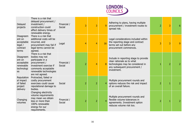

| Delayed<br>projects                                                | There is a risk that<br>delayed procurement /<br>investment /<br>construction could<br>affect delivery times of<br>renewable energy.                                      | Financial /<br>Social | 3              | 3              | $\mathbf{q}$   | Adhering to plans, having multiple<br>procurement / investment routes to<br>spread risk.                                                                | $\overline{2}$ | 3              | 6 |
|--------------------------------------------------------------------|---------------------------------------------------------------------------------------------------------------------------------------------------------------------------|-----------------------|----------------|----------------|----------------|---------------------------------------------------------------------------------------------------------------------------------------------------------|----------------|----------------|---|
| Disagreem<br>ent on<br>acceptable<br>legal /<br>contract<br>terms  | There is a risk that<br>additional costs will be<br>incurred, and<br>procurement may fail if<br>legal terms cannot be<br>agreed.                                          | Legal                 |                | 4              | 16             | Legal considerations included within<br>the reporting stage and contract<br>terms set out before any<br>procurement commences.                          | 3              | 3              | 9 |
| Disagreem<br>ent on<br>acceptable<br>renewable<br>technologi<br>es | There is a risk that<br>bodies may not<br>participate in a<br>procurement /<br>investment exercise if<br>commonly acceptable<br>renewable technologies<br>are not agreed. | Financial /<br>Social | $\overline{2}$ | 4              | 8              | Include in reporting stage to provide<br>clear rationale as to what<br>technologies may be considered in<br>any subsequent procurement /<br>investment. |                | $\overline{2}$ |   |
| Reputation<br>al impact<br>of failed<br>project<br>delivery        | Protracted, failed or<br>costly procurement<br>exercises could cause<br>reputational damage to<br>bodies.                                                                 | Social                | $\overline{2}$ | $\overline{2}$ | $\overline{4}$ | Multiple procurement rounds and<br>options reduces the risk and impact<br>of an overall failure.                                                        | $\overline{2}$ |                |   |
| Changing<br>volumes                                                | Changing electricity<br>volume requirements<br>may mean we obtain<br>less or more than<br>100% renewable<br>energy for our<br>requirements.                               | Financial /<br>Social | $\overline{2}$ | $\overline{2}$ | $\overline{4}$ | Multiple procurement rounds and<br>flexible volume tolerances in<br>agreements. Investment option<br>reduces volume risk too.                           | $\overline{2}$ |                |   |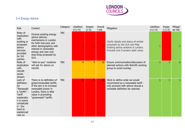

# 5.4 Energy Advice

| <b>Risk</b>                                                                                                                                                                    | Context                                                                                                                                                                                                  | Category   | Likelihoo<br>$d(1-5)$ | Impact<br>$(1-5)$ | Overal<br>I risk | Mitigation                                                                                                                                         | Likelihoo<br>$d(1-5)$ | Impac<br>$t(1-5)$ | Mitigat<br>ed risk |
|--------------------------------------------------------------------------------------------------------------------------------------------------------------------------------|----------------------------------------------------------------------------------------------------------------------------------------------------------------------------------------------------------|------------|-----------------------|-------------------|------------------|----------------------------------------------------------------------------------------------------------------------------------------------------|-----------------------|-------------------|--------------------|
| Risks of<br>duplication<br>with<br>existing or<br>proposed<br>advice<br>services<br>provided<br>by 3rd<br>parties.                                                             | Diverse existing energy<br>advice delivery<br>mechanisms in London<br>for both fuel poor and<br>other demographics with<br>interest in renewable<br>energy and new one-<br>stop-shop proposed by<br>GLA. | <b>TBC</b> | 5                     | 5                 | 25               | Clarify details and status of similar<br>proposals by the GLA and Map<br>Existing advice streams in London.<br>Proceed only if project adds value. |                       | $\overline{5}$    |                    |
| Risks of<br>duplication<br>with<br>retrofit<br>works<br>stream.                                                                                                                | "Able-to-pay" residents<br>will ask for advice on<br>retrofit.                                                                                                                                           | <b>TBC</b> | $\overline{4}$        | $\overline{4}$    | 16               | Ensure communication/discussion of<br>planned actions with Retrofit working<br>group to avoid overlap.                                             | 1                     | 1                 | 2.                 |
| Lack of<br>definition<br>for<br>"Renewabl<br>e Tariffs" -<br><b>Tariff</b><br>explanatio<br>n is overly<br>complicate<br>$d - \text{too}$<br>hard to<br>explain/ad<br>vise on. | There is no definition of<br>green/renewable tariffs.<br>If the aim is to increase<br>renewable power in<br>London, there is little<br>value in promoting<br>"greenwash" tariffs.                        | <b>TBC</b> | 5                     | 5                 | 25               | Work to define what we would<br>recommend as a renewable tariff -<br>only proceed with advice should a<br>workable definition be reached.          | $\mathbf{1}$          | $\mathbf{1}$      |                    |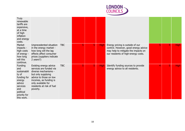

| Truly<br>renewable<br>tariffs are<br>expensive,<br>at a time<br>of high<br>inflation<br>and energy<br>costs.                             |                                                                                                                                                                                                                    |            |   |   |             |                                                                                                                                                        |  |             |
|------------------------------------------------------------------------------------------------------------------------------------------|--------------------------------------------------------------------------------------------------------------------------------------------------------------------------------------------------------------------|------------|---|---|-------------|--------------------------------------------------------------------------------------------------------------------------------------------------------|--|-------------|
| Market<br>impacts -<br>high costs<br>of energy -<br>how long<br>will this<br>continue.                                                   | Unprecedented situation<br>in the energy market -<br>how long will the lag<br>effects affect consumer<br>prices (suppliers indicate<br>2 years?)                                                                   | <b>TBC</b> |   |   | <b>High</b> | Energy pricing is outside of our<br>control. However, good energy advice<br>may help to mitigate the impacts on<br>our residents of high-energy costs. |  | <b>High</b> |
| Funding<br>and<br>sustainabili<br>ty of<br>funding for<br>energy<br>advice<br>services<br>and<br>political<br>priority for<br>this work. | Existing energy advice<br>services are funded via<br>diverse mechanisms -<br>but only supplying<br>advice to those on low<br>incomes, as funding is<br>only available for<br>residents at risk of fuel<br>poverty. | <b>TBC</b> | 5 | 5 | <b>High</b> | Identify funding sources to provide<br>energy advice to all residents.                                                                                 |  | <b>High</b> |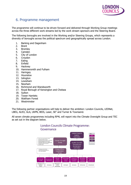

# 6. Programme management

The programme will continue to be driven forward and delivered through Working Group meetings across the three different work streams led by the work stream sponsors and the Steering Board.

The following boroughs are involved in the Working and/or Steering Groups, which represents a diversity of boroughs across the political spectrum and geographically spread across London.

- 1. Barking and Dagenham
- 2. Brent
- 3. Bromley
- 4. Camden
- 5. City of London
- 6. Croydon
- 7. Ealing
- 8. Enfield
- 9. Hackney
- 10. Hammersmith and Fulham
- 11. Haringey
- 12. Hounslow
- 13. Islington
- 14. Lewisham
- 15. Newham
- 16. Richmond and Wandsworth
- 17. Royal Borough of Kensington and Chelsea
- 18. Sutton
- 19. Tower Hamlets
- 20. Waltham Forest
- 21. Westminster

The following partner organisations will help to deliver the ambition: London Councils, LEDNet, LBEG, ALEO, GLA, UKPN, BEIS, Laser, SE<sup>2</sup> and Turner & Townsend.

All seven climate programmes including RP4L will report into the Climate Oversight Group and TEC as set out in the diagram below.



#### London Councils Climate Programme: Governance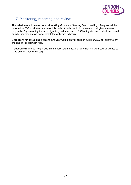

# 7. Monitoring, reporting and review

The milestones will be monitored at Working Group and Steering Board meetings. Progress will be reported to TEC on at least a six-monthly basis. A dashboard will be created that gives an overall red/ amber/ green rating for each objective, and a sub-set of RAG ratings for each milestone, based on whether they are on track, completed or behind schedule.

Discussions for developing a second two-year work plan will begin in summer 2023 for approval by the end of the calendar year.

A decision will also be likely made in summer/ autumn 2023 on whether Islington Council wishes to hand over to another borough.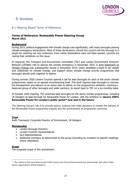

### 8. Annexes

#### <span id="page-21-0"></span>8.1 Steering Board Terms of Reference

#### **Terms of Reference: Renewable Power Steering Group March 2021**

#### **Background**

During 2019, political engagement with climate change rose significantly, with many boroughs passing climate emergency declarations. Most of these declarations commit the council and the borough to a target for reaching net zero emissions. Even where declarations have not been passed, councils are raising their ambitions on this issue.

In response, the Transport and Environment Committee (TEC) and London Environment Directors' Network (LEDNet) met to discuss the climate emergency in November 2019. A [Joint Statement on](https://www.londoncouncils.gov.uk/node/36794)  [Climate Change](https://www.londoncouncils.gov.uk/node/36794) was subsequently issued in December 2019, which identified a need to act rapidly and collectively on climate change, and support seven climate change priority programmes that boroughs should work together to deliver.

During summer 2020 London Councils opened a call for lead boroughs for each of the seven climate programmes, based on an agreed commissioning brief. This brief requires lead boroughs to oversee the development and delivery of an action plan to deliver on the programme's ambition, involving a balanced group of other boroughs and wider partners, to report back to TEC on a six-monthly basis.

In October 2020 meeting, TEC endorsed lead boroughs for the seven climate programmes, including LB Islington as lead borough for Renewable Power for London, with the ambition to '**secure 100% Renewable Power for London's public sector<sup>6</sup> now and in the future'**.

The Steering Group's role is to provide advice, endorse and make decisions to enable the delivery of the Renewable Power programme outputs and the achievement of programme outcomes.

#### **Chair**

Keith Townsend, Corporate Director of Environment, LB Islington

#### **Membership**

- London Borough Directors
- London Councils representatives
- GLA Representatives
- Additional members as determined by the group (including by invitation to specific meetings where requested)

#### **Scope**

The proposed scope of this workstream:

<sup>6</sup> This relates to the Local Government Public Sector (not Central Government) but partnerships with other Public Sector organisations will be looked at.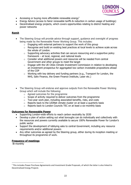

- Accessing or buying more affordable renewable energy<sup>7</sup>
- Energy Advice (access to fairer renewable tariffs & reduction in carbon usage of buildings)
- Decentralised energy projects, which covers opportunities relating to district heating and power networks

#### **Remit**

- The Steering Group will provide advice through support, guidance and oversight of progress being made by the Renewable Power Working Group. This includes:
	- $\circ$  Engaging with external partners to support the work of this group
	- $\circ$  Recognise and build on existing best practices at local levels to achieve scale across the whole of London.
	- $\circ$  Supporting advocacy activities that can secure resourcing and a supportive policy framework – at local, regional, and national levels
	- $\circ$  Consider what additional powers and resources will be needed from central Government and other groups to meet the target
	- o Engage with the UK Cities Climate Investment Commission in relation to developing an investment prospectus for aggregated low carbon investable propositions ahead of the COP
	- o Working with key delivery and funding partners (e.g., Transport for London, the NHS, Salix Finance, the Green Finance Institute, Laser etc.)
- The Steering Group will endorse and approve outputs from the Renewable Power Working Group which will include the following:
	- o Agreed outcomes for the programme
	- $\circ$  Scope of activity required to deliver outcomes from the programme
	- o Two-year work plan, including associated benefits, risks, and costs
	- $\circ$  Reports back to the LEDNet climate cluster on at least a quarterly basis
	- o Reports back to London Councils TEC on at least a six-monthly basis

#### **Outcomes for Renewable Power**

- Supporting London-wide efforts to reach carbon neutrality by 2030
- Develop a plan of action setting out what boroughs can do individually and collectively with the resources and powers currently available to secure 100% Renewable Power for London's public sector
- Support the development of lobbying asks to central Government, including any resource requirements and/or additional powers
- Any other outcomes as agreed by the Steering group, either during its inception meeting or throughout its programme of work.

#### **Frequency of meetings**

Bi-monthly

 $7$  This includes Power Purchase Agreements and Investment Grade Proposals, of which the latter is also linked to Decentralised Energy Projects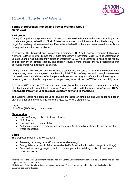

#### 8.2 Working Group Terms of Reference

#### **Terms of Reference: Renewable Power Working Group March 2021**

#### **Background**

During 2019, political engagement with climate change rose significantly, with many boroughs passing climate emergency declarations. Most of these declarations commit the council and the borough to a target for reaching net zero emissions. Even where declarations have not been passed, councils are raising their ambitions on this issue.

In response, the Transport and Environment Committee (TEC) and London Environment Directors' Network (LEDNet) met to discuss the climate emergency in November 2019. A [Joint Statement on](https://www.londoncouncils.gov.uk/node/36794)  [Climate Change](https://www.londoncouncils.gov.uk/node/36794) was subsequently issued in December 2019, which identified a need to act rapidly and collectively on climate change, and support seven climate change priority programmes that boroughs should work together to deliver.

During summer 2020 London Councils opened a call for lead boroughs for each of the seven climate programmes, based on an agreed commissioning brief. This brief requires lead boroughs to oversee the development and delivery of action plan to deliver on the programme's ambition, involving a balanced group of other boroughs and wider partners, to report back to TEC on a six-monthly basis.

In October 2020 meeting, TEC endorsed lead boroughs for the seven climate programmes, including LB Islington as lead borough for Renewable Power for London, with the ambition to '**secure 100% Renewable Power for London's public sector<sup>8</sup> now and in the future'**.

The Working Group has been set up to develop and agree an ambitious and well-supported action plan that outlines how we will deliver the targets set for this programme.

#### **Chair**

LBI Officer (TBC- likely to be Ashwin)

#### **Membership**

- London Boroughs Technical lead officers
- GLA officers
- London Councils representatives
- Additional members as determined by the group (including by invitation to specific meetings where requested)

#### **Scope**

The proposed scope of this workstream:

- Accessing or buying more affordable renewable energy<sup>9</sup>
- Energy Advice (access to fairer renewable tariffs & reduction in carbon usage of buildings)
- Decentralised energy projects, which covers opportunities relating to district heating and power networks

<sup>&</sup>lt;sup>8</sup> This relates to the Local Government Public Sector (not Central Government) but partnerships with other Public Sector organisations will be looked at.

<sup>9</sup> This includes Power Purchase Agreements and Investment Grade Proposals, of which the latter is also linked to Decentralised Energy Projects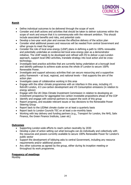

#### **Remit**

- Define individual outcomes to be delivered through the scope of work
- Consider and draft actions and activities that should be taken to deliver outcomes within the scope of work and ensure that it is commensurate with the relevant ambition. This should include associated benefits and risks, and potential costs
- Develop a two-year work plan and oversee the effective delivery of the action plan
- Consider what additional powers and resources will be needed from central Government and other groups to meet the target
- Consider the role of local area energy (LEAP) plans in defining a path to 100% renewable and potentially undertake an evidence-led local area energy plan as a demonstrator initiative. The LEAP needs to be developed and refined with ES to deliver a pan-London approach, support local DNO activities, translate strategy into local action and be crosstechnology.
- Investigate best practice activities that are currently being undertaken at a borough level and identify pathways to achieve scale across the whole of London to secure 100% Renewable Power.
- Investigate and support advocacy activities that can secure resourcing and a supportive policy framework – at local, regional, and national levels – that supports the aim of the action plan
- Investigate cases of collaborative working in this area
- Engage with the other climate programmes with an interface in this area, including  $#1$ Retrofit London, #2 Low-carbon development and #5 Consumption emissions (in relation to energy advice)
- Engage with the UK Cities Climate Investment Commission in relation to developing an investment prospectus for aggregated low carbon investable propositions ahead of the COP
- Identify and engage with external partners to support the work of this group
- Report progress, and escalate relevant issues or key decisions to the Renewable Power Steering Group
- Report back to the LEDNet climate cluster on at least a quarterly basis
- Report back to London Councils TEC on at least a six-monthly basis
- Working with key delivery and funding partners (e.g., Transport for London, the NHS, Salix Finance, the Green Finance Institute, Laser etc)

#### **Outcomes**

- Supporting London-wide efforts to reach carbon neutrality by 2030
- Develop a plan of action setting out what boroughs can do individually and collectively with the resources and powers currently available to secure 100% Renewable Power for London's public sector
- Support the development of lobbying asks to central Government, including any resource requirements and/or additional powers
- Any other outcomes as agreed by the group, either during its inception meeting or throughout its work programme.

#### **Frequency of meetings**

**Monthly**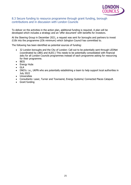

#### <span id="page-25-0"></span>8.3 Secure funding to resource programme through grant funding, borough contributions and in discussion with London Councils

To deliver on the activities in the action plan, additional funding is required. A plan will be developed which includes a strategy and an 'offer document' with benefits for investors.

At the Steering Group in December 2021, a request was sent for boroughs and partners to invest £10k into the programme (£5k minimum) which Islington Council has committed to.

The following has been identified as potential sources of funding:

- 32 London boroughs and the City of London: Call out to be potentially sent through LEDNet (coordinated by LBEG and ALEO.) This needs to be potentially consolidated with financial asks for all London Councils programmes instead of each programme asking for resourcing for their programme.
- BEIS
- Energy Hubs
- GLA
- DNO's: i.e., UKPN who are potentially establishing a team to help support local authorities in July 2022
- Universities
- Consultants: Laser, Turner and Townsend, Energy Systems/ Connected Places Catapult.
- Grant funding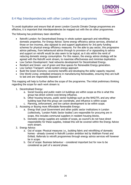

#### <span id="page-26-0"></span>8.4 Map Interdependencies with other London Council programmes

To avoid duplication and ensure that all seven London Councils Climate Change programmes are effective, it is important that interdependencies be mapped out with the six other programmes.

The following has preliminary been identified:

- Retrofit London: for Decentralised Energy in whole system approach and retrofitting domestic properties. For Energy Advice: Some energy efficiency advice services, directed at those on low incomes, also signpost to and support applications for 3rd party funding schemes for physical energy efficiency measures. For the able to pay sector, this progressive advice pathway, from behavioural advice through to provision of or signposting to advice and support on retrofit would be also seem to be logical, as it sits within the remit of reducing domestic energy consumption. For this reason, the energy advice strategy will be agreed with the Retrofit work stream, to maximise effectiveness and minimise duplication.
- Low Carbon Development: heat networks development for Decentralised Energy.
- Resilient and Green: use of green and blue spaces for Renewable Energy generation.
- Low Carbon Transport: whole system energy approach
- Build the Green Economy: economic benefits and developing the skills/ capacity required.
- One World Living: embodied emissions in manufacturing Renewables, ensuring they are built to last and are responsibly disposed of.

This mapping will help to further define the scope of the programme. The initial preliminary thinking regarding the scope for each work stream is:

- 1. Decentralised Energy:
	- a. Social housing and public realm LA buildings are within scope as this is what this group has direct control over/strong influence.
	- b. Other housing tenures, public sector buildings such as the NHS/TFL and any other building type that this group can coordinate, and influence is within scope
	- c. Planning, enforcement, and low carbon development to be within scope.
- 2. Accessing or Buying more Affordable Renewable Energy:
	- a. Energy that Local Government and other public sector institutions in London (collectively, 'London Public Sector bodies') are responsible for procuring are in scope, this includes communal suppliers in resident housing blocks.
	- b. Domestic energy supplies are outside of scope, as council's do not have direct responsibility for these supplies, instead this will be covered within the Energy Advice work stream.
- 3. Energy Advice:
	- a. Out of scope: Physical measures i.e., building fabric and retrofitting of domestic homes - already covered in Retrofit London ambition led by Waltham Forest and Enfield. Referrals to retrofit programmes through energy advice services will however be in scope.
	- b. Out of scope: Business behaviour considered important but for now to be considered as part of a second phase.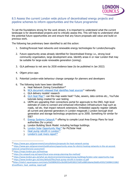

#### <span id="page-27-0"></span>8.5 Assess the current London wide picture of decentralised energy projects and pipeline schemes to inform opportunities and the future programme

To set the foundations strong for the work stream, it is important to understand what the current landscape is for decentralised projects and to critically assess this. This will help to understand what the potential future opportunities are and ensure that any future proposals add value and build on previous work.

- 1. Existing/forecast heat networks and renewable energy technologies for London/boroughs
- 2. Future opportunity areas already identified for Decentralised Energy i.e., strong local community organisation, large development area. Identify areas in or near London that may be suitable for large-scale renewable generation (zoning).
- 3. GLA pathways to net zero by 2030 evidence base (to be published in Jan 2022)
- 4. Ofgem price caps
- 5. Potential London-wide behaviour change campaign for planners and developers
- 6. The following tools have been identified:
	- a. Heat Network Zoning Consultation<sup>10</sup>
	- b. [NCA document released that identifies heat sources](https://www.gov.uk/government/publications/opportunity-areas-for-district-heating-networks-in-the-uk-second-national-comprehensive-assessment) $11$  nationally
	- c. GLA delivery models' research
	- d. [GLA Heat Map](https://maps.london.gov.uk/heatmap)<sup>12</sup>: can this map waste heat? Tube, sewers, data centres etc., YouTube tutorials being created for user testing
	- e. UKPN are upgrading their connections portal for approvals to the DNO, high level estimate of costs to connect and enhanced information Infrastructure map such as roads, rail etc. that impact network extensions. Embedded capacity register (details all current and planned generators in London megawatt.) London borough level generation and storage technology projections up to 2050. Something for similar for SSE?
	- f. [Energy Systems Catapult:](https://es.catapult.org.uk/report/local-area-energy-planning-the-method/)<sup>13</sup> offering to compile Local Area Energy Plans for local authorities (for a price)
	- g. London Building Stock Model: including heritage buildings.
	- h. [London Solar Opportunity Map](https://www.london.gov.uk/what-we-do/environment/energy/energy-buildings/london-solar-opportunity-map)<sup>14</sup> for PV/Solar Heat
	- i. [Heat pump retrofit in London](https://www.london.gov.uk/sites/default/files/heat-pump-retrofit-in-london-v2.pdf)<sup>15</sup>
	- j. [London's Lost rivers report](https://static1.squarespace.com/static/5d30896202a18c0001b49180/t/5d91e0881dde4e2bb83c4593/1569841318623/LostRivers_heat_seeking_report.pdf) $16$

<sup>10</sup> <https://www.gov.uk/government/consultations/proposals-for-heat-network-zoning>

<sup>11</sup> [https://www.gov.uk/government/publications/opportunity-areas-for-district-heating-networks-in-the-uk-second](https://www.gov.uk/government/publications/opportunity-areas-for-district-heating-networks-in-the-uk-second-national-comprehensive-assessment)[national-comprehensive-assessment](https://www.gov.uk/government/publications/opportunity-areas-for-district-heating-networks-in-the-uk-second-national-comprehensive-assessment)

<sup>12</sup> <https://maps.london.gov.uk/heatmap>

<sup>13</sup> <https://es.catapult.org.uk/report/local-area-energy-planning-the-method/>

<sup>14</sup> <https://www.london.gov.uk/what-we-do/environment/energy/energy-buildings/london-solar-opportunity-map> <sup>15</sup> <https://www.london.gov.uk/sites/default/files/heat-pump-retrofit-in-london-v2.pdf>

<sup>16</sup>[https://static1.squarespace.com/static/5d30896202a18c0001b49180/t/5d91e0881dde4e2bb83c4593/156984131862](https://static1.squarespace.com/static/5d30896202a18c0001b49180/t/5d91e0881dde4e2bb83c4593/1569841318623/LostRivers_heat_seeking_report.pdf) [3/LostRivers\\_heat\\_seeking\\_report.pdf](https://static1.squarespace.com/static/5d30896202a18c0001b49180/t/5d91e0881dde4e2bb83c4593/1569841318623/LostRivers_heat_seeking_report.pdf)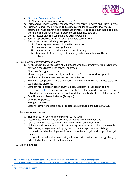

- k. [Cities and Community Energy](https://protect-eu.mimecast.com/s/sCluCnr6YCp0WzktE2-WH?domain=communityenergy.london)<sup>17</sup>
- I. UKPN network diagrams are available [here](https://www.ukpowernetworks.co.uk/safety/around-power-lines/request-plans-showing-where-electricity-cables-are) $18$
- m. Forthcoming Hidden Carbon Economy report by Energy Unlocked and Quant Energy.
- n. Islington Council: the new build NZC strategy/plan looks to exploit low energy options i.e., heat networks as a statement of intent. This is also built into local policy and the local plan. As a practical step, the Islington net zero SPD
- o. energy master planning commitments across boroughs
- p. Funding opportunities including energy funders such as BEIS
- q. Funding structures including third parties:
	- i. Financing heat networks in the UK: guidebook
	- ii. Heat networks: procuring finance
	- iii. Heat network electricity revenues and licencing
	- iv. Assessment of the costs, performance, and characteristics of UK heat networks
- 7. Best practice examples/lessons learnt:
	- a. North London group representing 7 boroughs who are currently working together to develop a coordinated heat network approach
	- b. GLA Local Energy Accelerator
	- c. Views on repurposing greenbelt/brownfield sites for renewable development
	- d. Land availability for direct wire connections in London
	- e. How much competition is there for space as conversion to electric vehicles starts to use increased electricity
	- f. Lambeth heat decarbonisation study, Enfield, Waltham Forest: technical and governance, [SELCHP](https://www.selchp.com/)<sup>19</sup> energy recovery facility (the plant provides energy to a heat network in the London borough of Southwark that supplies heat to 2,500 properties.)
	- g. Bunhill Heat and Power Network (Islington)
	- h. GreenSCIES (Islington)
	- i. Energetik (Enfield)
	- j. Lessons learnt from other types of collaborative procurement such as GULCS
- 8. Technologies and design:
	- a. Transition to net zero technologies will be included
	- b. District Heat Network and smart grids to reduce grid energy demand
	- c. Local battery storage fed by solar PV and energy-sharing from EV's
	- d. High standards to future proof district heating systems including hydrogen-enabled CHP, battery storage, fuel cells, pragmatic fabric first approach to buildings, conservation/ listed buildings restrictions, connections to grid and support local grid demand
	- e. flexing battery and heat storage using off-peak periods with lower energy charges, hybrid technologies, whole system approach
- 9. Skills/knowledge:

<sup>17</sup> <https://protect-eu.mimecast.com/s/sCluCnr6YCp0WzktE2-WH?domain=communityenergy.london>

<sup>18</sup> [https://www.ukpowernetworks.co.uk/safety/around-power-lines/request-plans-showing-where-electricity-cables](https://www.ukpowernetworks.co.uk/safety/around-power-lines/request-plans-showing-where-electricity-cables-are)[are](https://www.ukpowernetworks.co.uk/safety/around-power-lines/request-plans-showing-where-electricity-cables-are)

<sup>19</sup> <https://www.selchp.com/>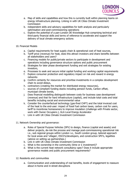

- a. Map of skills and capabilities and how this is currently built within planning teams on energy infrastructure planning. Linking in with UK Cities Climate Investment **Commission**
- b. independent skills and advisory capabilities for both analysis and particularly optimisation and post-commissioning operations
- c. Explore the potential of a pan-London DE Knowledge Hub comprising technical and third-party financial skills and terms of reference to accelerate and support the delivery of local climate emergency actions

#### 10. Financial Models

- a. Capital requirements for heat supply chain & operational cost of heat sources,
- b. Tariff price (revenue) for heat, does this attract investors and share benefits between all stakeholders and users?
- c. Financing models for public/private sectors to participate in development and operations including governance structure options and public procurement
- d. Strategies for later phase development funding and exit strategies for existing investors,
- e. Processes to seek and secure initial capital funding and working capital requirements
- f. Explore consumer protection and regulatory impact on risk and reward in energy networks
- g. Confirm certainty for resources and prioritise investments in a complex development chain to avoid delays,
- h. contractors (creating the market for distributed energy resources),
- i. sources of compliant funding stacks including pension funds, Carbon offset, municipal climate bonds,
- j. Does financial modelling distinguish between costs for business case development (revenue) and that for hard infrastructure (capital), and include total costs and total benefits including social and environmental value
- k. Consider the counterfactual technology (gas-fired CHP?) and the total invoiced cost of the heat to the end-user: impact of fossil fuel carbon taxes, carbon cost for users, tariff to incentivise homeowners to improve insulation (challenge with Private sector, work with Owner Occupiers.), GLA Local Energy Accelerator
- l. Link in with UK Cities Climate Investment Commission
- 11. Network Ownership and governance:
	- a. Roles of Special Purpose Vehicles (SPV) to design, finance (capital and assets) and deliver projects, de-risk the process and manage post-commissioning operational risk i.e., sub regional groups within London i.e., South London group, tailored approach for local areas and 'villages', ESCO's/developers, and construction SPV's, legalities (advice on setting up partnerships.)
	- b. Link in with UK Cities Climate Investment Commission
	- c. What is the ownership in the community (time or £ investment)?
	- d. What is the current heat network consultancy spec? Does it include appropriate governance models and public procurement requirements?
- 12. Residents and communities
	- a. Communication and understanding of real benefits, levels of engagement to reassure about in-home and in-street disruptions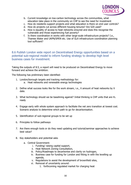

- <span id="page-30-0"></span>b. Current knowledge on low-carbon technology across the communities, what education take place in the community on CHP to see the need for investment
- c. How do residents support projects and what education is there on end user controls?
- d. How do projects cut across different housing tenures? Are S20 used?
- e. How is equality of access to heat networks ensured and does this recognise the vulnerable and those experiencing fuel poverty?
- f. Is there coordination in works with other large-scale infrastructure projects? I.e., Thames Water and UKPN/SPEN etc. Use of GLA infrastructure coordination planning tool sufficient?

8.6 Publish London wide report on Decentralised Energy opportunities based on a potential sub-regional model to inform funding strategy to develop high level business cases for investment.

Taking the outputs of 8.5, a report will need to be produced on Decentralised Energy to move forward and achieve the ambition.

The following has preliminary been identified:

- 1. London/borough targets and tracking methodology for:
	- a. Heat networks and renewable energy technologies
- 2. Define what success looks like for the work stream, i.e., X amount of heat networks by X date.
- 3. What technology should we be baselining against? Initial thinking is CHP units that are  $H_2$ ready
- 4. Engage early with whole system approach to facilitate the net zero transition at lowest cost. Scenario analysis to determine which path to go for decarbonisation.
- 5. Identification of sub-regional groups to be set up
- 6. Principles to follow pathways
- 7. Are there enough tools or do they need updating and tutorial/seminar approaches to achieve best value?
- 8. Key stakeholders and potential asks
	- a. Central Government:
		- i. Funding/ raising capital support,
		- ii. Heat Network Zoning Consultation,
		- iii. Policy/Roadmaps to decarbonise and clarity on hydrogen,
		- iv. Business case for funding for London and fitting in with the levelling up agenda,
		- v. Regulations to assist the development of brownfield sites,
		- vi. Removal of uncertainty around:
			- 1. forthcoming regulated market for charging heat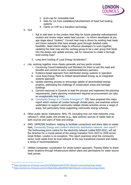

- 2. price cap for renewable heat
- 3. Date for cut from installation/refurbishment of fossil fuel heating systems
- 4. Clarity on CHP as a transition technology
- b. GLA
	- i. Ask to add layer to the London Heat Map for future potential redevelopment clusters and review major waste heat sources – to inform developers at preapp stage about "clusters". Current heat map is driven by existing heat loads and future networks that have already gone through detailed costly feasibility. Need interim stage to influence developers to work together, updating the heat map and the working group to be a user group that feeds into the design and update process, ask for resources to create a borough level-zoning map?
	- ii. Long term funding of Local Energy Accelerator?
- c. LAs: working together more closely generally and key points include:
	- i. Convincing Council leadership and Members for them to see the need and benefits and commit to early investment/delivery partners,
	- ii. Evidence-based approach from distributed energy systems in operation
	- iii. Local Area Energy Plans to embed decentralised energy as an integrated systems approach
	- iv. Update planning process to encourage uptake of decentralised energy projects, addressing the challenge of conservation areas and heritage buildings
	- v. Commit resources in Councils to lead the process and implement the planning requirements, (early planning involvement required as procurement can take an exceptionally long time)
	- vi. [Community Energy in a](https://protect-eu.mimecast.com/s/Vx7kCpQLRuErwG7TkT0h-?domain=communityenergy.london) Climate Emergency<sup>20</sup>: CEL have prepared this major report which reviews all London borough climate plans, and examines actions undertaken to support community-related climate activities across a range of areas, but particularly those supporting community energy schemes.
- d. Other public sector institutions: NHS, TfL (including how can heat networks cross railways?), other public and private (e.g., data centres) sources of waste heat as both sources and users of heat and energy
- e. DNO: UKPN/SSE Southern: helping to facilitate connections and share data on waste heat, [Community Energy and London's electricity distribution network: new report](https://protect-eu.mimecast.com/s/mZ6pCoQXvupNwMQtW7gKt?domain=communityenergy.london) $21$ : The forthcoming price control for the electricity network (called RIIO-ED2), will set the direction for a crucial period of the energy transition from 2023 to 2028 across Great Britain. London is no exception. This report examines what the community sector most needs from its local network at this key transitional moment and makes a series of recommendations
- f. Utilities companies: coordination for whole system approach, Thames Water to share sewer locations through infrastructure deliver plans and permissions for water source heat pumps.

<sup>20</sup> <https://protect-eu.mimecast.com/s/Vx7kCpQLRuErwG7TkT0h-?domain=communityenergy.london>

<sup>21</sup> <https://protect-eu.mimecast.com/s/mZ6pCoQXvupNwMQtW7gKt?domain=communityenergy.london>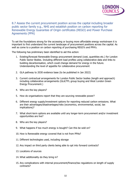

<span id="page-32-0"></span>8.7 Assess the current procurement position across the capital including broader public sector family e.g., NHS and establish position on carbon reporting for Renewable Energy Guarantee of Origin certificates (REGO) and Power Purchase Agreements (PPA)

To set the foundations strong for the accessing or buying more affordable energy workstream it is important to first understand the current landscape of procurement positions across the capital. As well as come to a position on carbon reporting of purchasing REGO's and PPA's.

- 1. Existing/forecast Renewable Energy procurement demand (cost, quantities etc.) for London Public Sector Bodies. Including different load profiles using collaborative data and links to building decarbonisation, which could change demand for energy in the future. Understanding the level of appetite for collaborative procurement
- 2. GLA pathway to 2030 evidence base (to be published in Jan 2022)
- 3. Current contractual arrangements for London Public Sector bodies (length and approach) including collaborative arrangements (GLA/TFL group buying and West London Green Energy Procurement.)
- 4. Who are the key players?
- 5. How do organisations report that they are sourcing renewable power?
- 6. Different energy supply/investment options for reporting reduced carbon emissions. What are their advantages/disadvantages/risks (economics, environmental, social, tax implications)?
- 7. What short-term options are available until any longer-term procurement and/or investment opportunities are live?
- 8. Who are the key players?
- 9. What happens if too much energy is bought? Can this be sold on?
- 10. How is Renewable energy covered that is not from PPAs?
- 11. Different technologies used, including storage
- 12. Any impact on third party clients being able to opt into forward contracts?
- 13. Locations of sources
- 14. What additionality do they bring in?
- 15. Any complications with internal procurement/finance/tax regulations on length of supply contracts?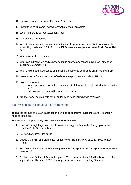

- 16. Learnings from other Power Purchase Agreements
- 17. Understanding customer owned renewable generation assets
- 18. Local Partnership Carbon Accounting tool
- 19. LGA procurement toolkit
- 20. What is the accounting impact of entering into long term contracts (liabilities created & accounting treatment)? Both from the IFRS/balance sheet perspective & Public Sector Net Debt.
- <span id="page-33-0"></span>21. What organisations can advise?
- 22. What commitments do bodies need to make prior to any collaborative procurement or investment commencing?
- 23. What are the consequences to all parties if an authority declines to enter into the final?
- 24. Lessons learnt from other types of collaborative procurement such as GULCS
- 25. Heat procurement:
	- a. What options are available for non-electrical Renewable Heat and what is the policy set?
	- b. Is it assumed all heat will become electrified?
- 26. Are there any requirements for a London wide behaviour change campaign?

#### 8.8 Investigate collaborative routes to market

Taking the outputs of 8.8, an investigation on what collaborative routes there are to market will need to take place.

- 1. London/borough targets and tracking methodology for Renewable Energy procurement (London Public Sector bodies)
- 2. Define what success looks like
- 3. Decide a shortlist of 5 preferential options (e.g., 3rd party PPA, existing PPAs, sleeved, virtual)
- 4. What technologies and locations are preferable / acceptable / not acceptable for renewable generation?
- 5. Position on definition of Renewable power. The current working definition is as electricity supplied from UK-based REGO-eligible generation sources, excluding Biomass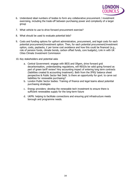

- 6. Understand ideal numbers of bodies to form any collaborative procurement / investment exercising, including the trade-off between purchasing power and complexity of a larger group
- 7. What vehicle to use to drive forward procurement exercise?
- 8. What should be used to evaluate potential bids?
- 9. Costs and funding options for upfront administration, procurement, and legal costs for each potential procurement/investment option. Then, for each potential procurement/investment option, costs, paybacks, £ per tonne cost avoidance and how this could be financed (e.g., role of pension funds, climate bonds, carbon offset funds, core budgets), Link in with UK Cities Climate Investment Commission
- 10. Key stakeholders and potential asks
	- a. Central Government: engage with BEIS and Ofgem, drive forward grid decarbonisation, understanding regulations, will REGOs be valid going forward as part of green tariff review? Any accounting impact of entering long term contracts (liabilities created & accounting treatment). Both from the IFRS/ balance sheet perspective & Public Sector Net Debt. Is there an opportunity for govt. to carve out liabilities for renewable purchasing?
	- b. London Public Sector bodies: Training of finance and legal teams about potential purchasing strategies
	- c. Energy providers: develop the renewable tech investment to ensure there is sufficient renewables supply for the long-term future
	- d. UKPN: helping to facilitate connections and ensuring grid infrastructure meets borough and programme needs.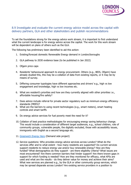

#### <span id="page-35-0"></span>8.9 Investigate and evaluate the current energy advice model across the capital with delivery partners, GLA and other stakeholders and publish recommendations

To set the foundations strong for the energy advice work stream, it is important to first understand what the current landscape is for energy advice across the capital. The work for this work stream will be dependent on plans of others such as the GLA.

- 1. Existing/forecast domestic Renewable Energy demand in London/boroughs
- 2. GLA pathway to 2030 evidence base (to be published in Jan 2022)
- 3. Ofgem price caps
- 4. Residents' behavioural approach to energy procurement. Others (e.g., BEIS, Ofgem) have already studied this, this may be a collation of data from existing reports, or it may be by means of survey.
- 5. Differing consumer typologies have different approaches and drivers' e.g., high vs low engagement and knowledge, high vs low incomes etc.
- 6. What are resident's priorities and how are they currently aligned with other priorities i.e., affordable housing/fire safety?
- 7. Does advice include referral for private sector regulatory such as minimum energy efficiency standards (MEES)?
- 8. What are the barriers to using recent technologies (e.g., smart meters), smart heating controls and smart tariffs
- 9. Do energy advice services for fuel poverty meet the need for it?
- 10. Collation of best practice methodologies for encouraging energy saving behaviour change. This would include a consideration of different target audiences, e.g., school children, role of community groups, vulnerable people, the digitally excluded, those with accessibility issues, immigrants with English as a second language etc.
- 11. [Greenwich Energy Hero](https://greenwichenergyhero.org/) (Demand side project)
- 12. Service questions: Who provides energy advice services across London? What do the services offer and to what extent - how many residents are supported? Do current services support residents to reduce energy use and/or buy renewable energy? How are they funded? What demographics do they support - are there eligibility criteria? What issues are most encountered? Are there common barriers that hinder support? Are there known gaps in support for which funding is needed? How are they monitored for efficacy, what KPIs are used and what are the results - do they deliver value for money and achieve their aims? What new services are planned e.g., by the GLA or other community group services, which may be spread disparate across London? Are existing service providers in a position to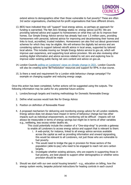

extend advice to demographics other than those vulnerable to fuel poverty? These are often 3rd sector organisations, charities/not-for-profit organisations that have different drivers.

- 13. BEIS have indicated they will "support" local energy advice, so perhaps an approach for funding is warranted; The Net Zero Strategy states re: energy advice (p278): We are providing tailored advice and support to homeowners on what they can do to improve their homes. Our Simple Energy Advice service has already had over 1.5 million users, providing homeowners with personal, tailored advice for improving and decarbonising their homes and links to local, accredited, trusted installers. Homeowners can also find out about government schemes for which they may be eligible. We will enhance the digitally led service and are considering options to support tailored retrofit advice in local areas, supported by tailored local advice. This includes moving our Simple Energy Advice service to gov.uk, which will improve user experience, and supporting local advice provision. We are also reviewing other existing digital information and advice services related to net zero and exploring how to improve wider existing public-facing net zero content and advice on gov.uk.
- 14. London Councils [polling on Londoners' views on climate change in 2021.](https://www.londoncouncils.gov.uk/climate-change-poll) London Councils will also be creating some 'BeTheSolution' resources and support for RP4L in due course.
- 15. Is there a need and requirement for a London wide behaviour change campaign? For example on changing supplier and reducing energy usage.

Once this action has been completed, further actions will be suggested using the outputs. The following information may be useful for any potential future actions:

- 1. London/borough targets and tracking methodology for Domestic Renewable Energy
- 2. Define what success would look like for Energy Advice
- 3. Position on definition of Renewable Power
- 4. A proposed mechanism for delivering and monitoring energy advice for all London residents. Energy advice does not always have impact in terms of behaviour change but has other impacts such as individual empowerment, so monitoring will be difficult - impacts will not always be measurable in terms of energy savings but might be in terms of other variables e.g., wellbeing, less excess winter deaths etc.
	- This could potentially include the creation of a "One-stop-shop" to provide a gateway to enable all Londoners to access energy advice and support that is relevant to them:
		- i. A web-portal, for instance, linked to all energy advice services available across the capital as well as providing information and onward signposting, this would be relevant to all Londoners, not just those who are vulnerable to fuel poverty.
		- ii. This would need to bridge the gap in provision for those sectors of the population (able-to-pay) who need to be engaged to reach net zero carbon targets.
		- iii. Investigate whether existing advisors, who are experts in supporting those in fuel poverty, are best placed to support other demographics or whether extra provision should be made
- 5. Should we start with our own social housing tenants? e.g., education on billing, how the energy system works, bespoke pictorial instructions for heating controls in each council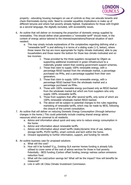

property - educating housing managers on use of controls so they can educate tenants and check thermostats during visits. Need to consider equalities implications re make up of different tenures and where fuel poverty already highest. Explanations for those with English as a second language, the digitally excluded, with accessibility issues.

- 6. An outline that will deliver on increasing the proportion of domestic energy supplied by renewables. This should define what parameters a "renewable tariff" should meet, in the context of energy advice tailored to the interest/expectations/financial situation of each resident.
	- a. This may simply include explanations of the complexities regarding defining what a "renewable tariff" is and defining it in terms of a sliding scale (1-5, below), where those nearer the top are more appropriate for highly climate motivated, able to pay householders and those nearer the bottom for those less climate motivated and on low incomes:
		- 1. Those provided by the three suppliers recognised by Ofgem as supporting additional investment in green infrastructure to a materially greater extent than existing government support schemes.
		- 2. Those that claim to supply 100% renewable energy, with a percentage REGO backed from the wholesale market, a percentage purchased via PPAs, and a percentage supplied from their own generators.
		- 3. Those that claim to supply 100% renewable energy, with a percentage REGO backed from the wholesale market and a percentage purchased via PPAs.
		- 4. Those with 100% renewable energy purchased only as REGO backed from the wholesale market but which are from suppliers who only supply 100% renewable tariffs.
		- 5. Those from suppliers that offer several tariffs, only some of which are 100% renewable wholesale market REGO backed.
		- 6. The above will be subject to potential changes to the rules regarding marketing of renewable tariffs, which may be made by BEIS, following the closure of the current consultation.
- 7. An outline that will deliver on reducing Domestic Energy Consumption (through behaviour changes in the home.) This could potentially include creating shared energy advice resources which are universal to all residents.
	- a. Advice and information about quick and easy wins to reduce energy consumption in the home.
	- b. Advice and information about renewable tariffs.
	- c. Advice and information about smart tariffs (static/dynamic time of use, battery storage tariffs, PV/EV tariffs), smart controls and tech within the home.
	- d. Onward signposting to further information, support, and funding for retrofit.
- 8. An outline business case for proposed solutions
	- a. What will this cost?
	- b. How will it be funded? E.g., Existing GLA warmer homes funding is already fully utilised to cover some of the cost of advice services for those in fuel poverty. Potentially - BEIS funding /Carbon offset funding /energy redress carbon emissions reduction fund.
	- c. What will the cost/carbon savings be? What will be the impact? How will benefits be measured?
	- d. Link in with UK Cities Climate Investment Commission.